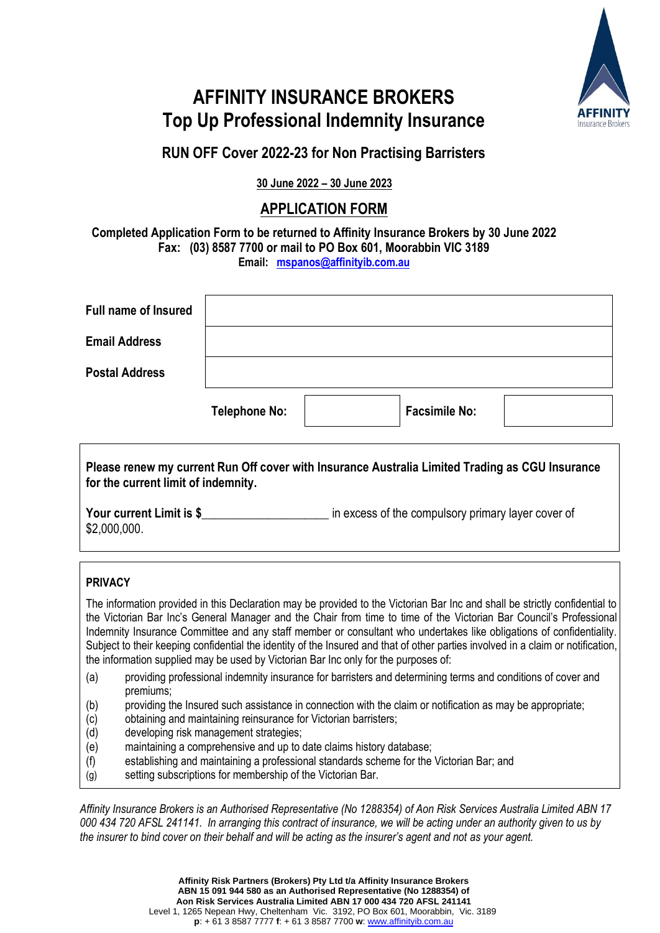

## **AFFINITY INSURANCE BROKERS Top Up Professional Indemnity Insurance**

### **RUN OFF Cover 2022-23 for Non Practising Barristers**

**30 June 2022 – 30 June 2023**

#### **APPLICATION FORM**

**Completed Application Form to be returned to Affinity Insurance Brokers by 30 June 2022 Fax: (03) 8587 7700 or mail to PO Box 601, Moorabbin VIC 3189**

**Email: [mspanos@affinityib.com.au](mailto:mspanos@affinityib.com.au)**

| <b>Full name of Insured</b> |                      |                      |  |
|-----------------------------|----------------------|----------------------|--|
| <b>Email Address</b>        |                      |                      |  |
| <b>Postal Address</b>       |                      |                      |  |
|                             | <b>Telephone No:</b> | <b>Facsimile No:</b> |  |

**Please renew my current Run Off cover with Insurance Australia Limited Trading as CGU Insurance for the current limit of indemnity.**

**Your current Limit is \$** The section of the compulsory primary layer cover of \$2,000,000.

#### **PRIVACY**

The information provided in this Declaration may be provided to the Victorian Bar Inc and shall be strictly confidential to the Victorian Bar Inc's General Manager and the Chair from time to time of the Victorian Bar Council's Professional Indemnity Insurance Committee and any staff member or consultant who undertakes like obligations of confidentiality. Subject to their keeping confidential the identity of the Insured and that of other parties involved in a claim or notification, the information supplied may be used by Victorian Bar Inc only for the purposes of:

- (a) providing professional indemnity insurance for barristers and determining terms and conditions of cover and premiums;
- (b) providing the Insured such assistance in connection with the claim or notification as may be appropriate;
- (c) obtaining and maintaining reinsurance for Victorian barristers;
- (d) developing risk management strategies;
- (e) maintaining a comprehensive and up to date claims history database;
- (f) establishing and maintaining a professional standards scheme for the Victorian Bar; and
- (g) setting subscriptions for membership of the Victorian Bar.

*Affinity Insurance Brokers is an Authorised Representative (No 1288354) of Aon Risk Services Australia Limited ABN 17 000 434 720 AFSL 241141. In arranging this contract of insurance, we will be acting under an authority given to us by the insurer to bind cover on their behalf and will be acting as the insurer's agent and not as your agent.*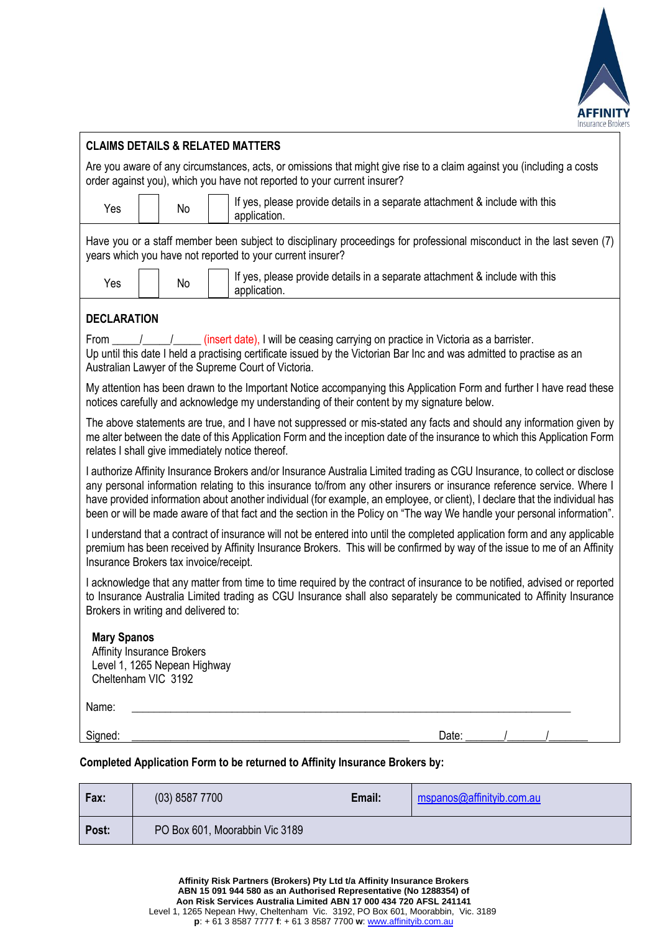

|                                           |                                                                   | <b>CLAIMS DETAILS &amp; RELATED MATTERS</b>                                                                                                                                                                                                                                                                                                                                                                                                                                                                    |
|-------------------------------------------|-------------------------------------------------------------------|----------------------------------------------------------------------------------------------------------------------------------------------------------------------------------------------------------------------------------------------------------------------------------------------------------------------------------------------------------------------------------------------------------------------------------------------------------------------------------------------------------------|
|                                           |                                                                   | Are you aware of any circumstances, acts, or omissions that might give rise to a claim against you (including a costs<br>order against you), which you have not reported to your current insurer?                                                                                                                                                                                                                                                                                                              |
| Yes                                       | No                                                                | If yes, please provide details in a separate attachment & include with this<br>application.                                                                                                                                                                                                                                                                                                                                                                                                                    |
|                                           |                                                                   | Have you or a staff member been subject to disciplinary proceedings for professional misconduct in the last seven (7)<br>years which you have not reported to your current insurer?                                                                                                                                                                                                                                                                                                                            |
| Yes                                       | No                                                                | If yes, please provide details in a separate attachment & include with this<br>application.                                                                                                                                                                                                                                                                                                                                                                                                                    |
| <b>DECLARATION</b>                        |                                                                   |                                                                                                                                                                                                                                                                                                                                                                                                                                                                                                                |
| From                                      |                                                                   | Up until this date I held a practising certificate issued by the Victorian Bar Inc and was admitted to practise as an<br>Australian Lawyer of the Supreme Court of Victoria.                                                                                                                                                                                                                                                                                                                                   |
|                                           |                                                                   | My attention has been drawn to the Important Notice accompanying this Application Form and further I have read these<br>notices carefully and acknowledge my understanding of their content by my signature below.                                                                                                                                                                                                                                                                                             |
|                                           |                                                                   | The above statements are true, and I have not suppressed or mis-stated any facts and should any information given by<br>me alter between the date of this Application Form and the inception date of the insurance to which this Application Form<br>relates I shall give immediately notice thereof.                                                                                                                                                                                                          |
|                                           |                                                                   | I authorize Affinity Insurance Brokers and/or Insurance Australia Limited trading as CGU Insurance, to collect or disclose<br>any personal information relating to this insurance to/from any other insurers or insurance reference service. Where I<br>have provided information about another individual (for example, an employee, or client), I declare that the individual has<br>been or will be made aware of that fact and the section in the Policy on "The way We handle your personal information". |
| Insurance Brokers tax invoice/receipt.    |                                                                   | I understand that a contract of insurance will not be entered into until the completed application form and any applicable<br>premium has been received by Affinity Insurance Brokers. This will be confirmed by way of the issue to me of an Affinity                                                                                                                                                                                                                                                         |
| Brokers in writing and delivered to:      |                                                                   | I acknowledge that any matter from time to time required by the contract of insurance to be notified, advised or reported<br>to Insurance Australia Limited trading as CGU Insurance shall also separately be communicated to Affinity Insurance                                                                                                                                                                                                                                                               |
| <b>Mary Spanos</b><br>Cheltenham VIC 3192 | <b>Affinity Insurance Brokers</b><br>Level 1, 1265 Nepean Highway |                                                                                                                                                                                                                                                                                                                                                                                                                                                                                                                |
| Name:                                     |                                                                   |                                                                                                                                                                                                                                                                                                                                                                                                                                                                                                                |
| Signed:                                   |                                                                   | Date:<br><u> 1989 - Johann John Stone, mars and de final and de final and de final and de final and de final and de final</u>                                                                                                                                                                                                                                                                                                                                                                                  |
|                                           |                                                                   | Completed Application Form to be returned to Affinity Insurance Brokers by:                                                                                                                                                                                                                                                                                                                                                                                                                                    |

| Fax:  | $(03)$ 8587 7700               | Email: | mspanos@affinityib.com.au |
|-------|--------------------------------|--------|---------------------------|
| Post: | PO Box 601, Moorabbin Vic 3189 |        |                           |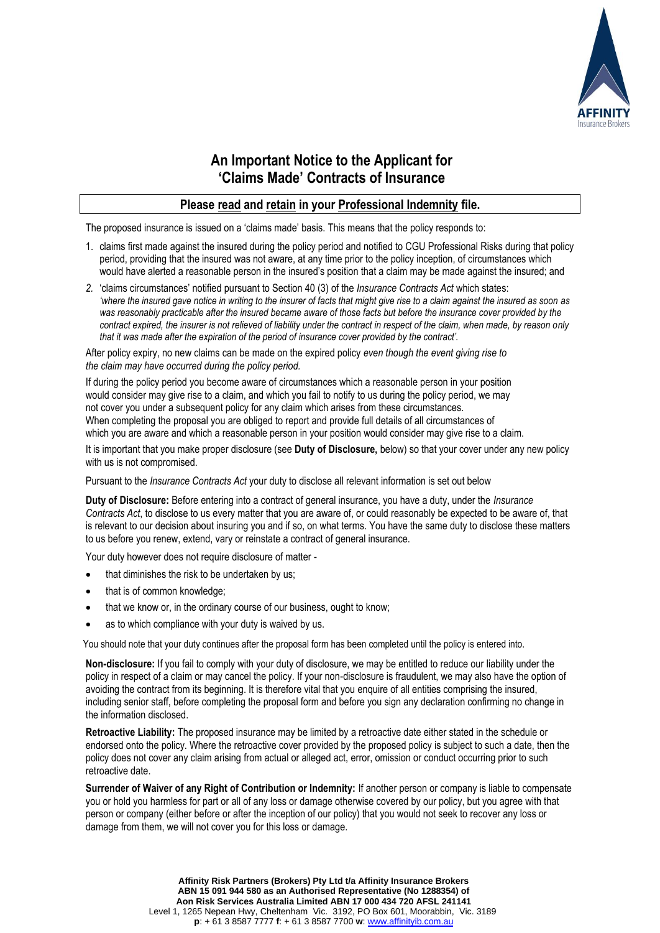

#### **An Important Notice to the Applicant for 'Claims Made' Contracts of Insurance**

#### **Please read and retain in your Professional Indemnity file.**

The proposed insurance is issued on a 'claims made' basis. This means that the policy responds to:

- 1. claims first made against the insured during the policy period and notified to CGU Professional Risks during that policy period, providing that the insured was not aware, at any time prior to the policy inception, of circumstances which would have alerted a reasonable person in the insured's position that a claim may be made against the insured; and
- *2.* 'claims circumstances' notified pursuant to Section 40 (3) of the *Insurance Contracts Act* which states: *'where the insured gave notice in writing to the insurer of facts that might give rise to a claim against the insured as soon as was reasonably practicable after the insured became aware of those facts but before the insurance cover provided by the contract expired, the insurer is not relieved of liability under the contract in respect of the claim, when made, by reason only that it was made after the expiration of the period of insurance cover provided by the contract'.*

After policy expiry, no new claims can be made on the expired policy *even though the event giving rise to the claim may have occurred during the policy period.*

If during the policy period you become aware of circumstances which a reasonable person in your position would consider may give rise to a claim, and which you fail to notify to us during the policy period, we may not cover you under a subsequent policy for any claim which arises from these circumstances. When completing the proposal you are obliged to report and provide full details of all circumstances of which you are aware and which a reasonable person in your position would consider may give rise to a claim.

It is important that you make proper disclosure (see **Duty of Disclosure,** below) so that your cover under any new policy with us is not compromised.

Pursuant to the *Insurance Contracts Act* your duty to disclose all relevant information is set out below

**Duty of Disclosure:** Before entering into a contract of general insurance, you have a duty, under the *Insurance Contracts Act*, to disclose to us every matter that you are aware of, or could reasonably be expected to be aware of, that is relevant to our decision about insuring you and if so, on what terms. You have the same duty to disclose these matters to us before you renew, extend, vary or reinstate a contract of general insurance.

Your duty however does not require disclosure of matter -

- that diminishes the risk to be undertaken by us;
- that is of common knowledge;
- that we know or, in the ordinary course of our business, ought to know;
- as to which compliance with your duty is waived by us.

You should note that your duty continues after the proposal form has been completed until the policy is entered into.

**Non-disclosure:** If you fail to comply with your duty of disclosure, we may be entitled to reduce our liability under the policy in respect of a claim or may cancel the policy. If your non-disclosure is fraudulent, we may also have the option of avoiding the contract from its beginning. It is therefore vital that you enquire of all entities comprising the insured, including senior staff, before completing the proposal form and before you sign any declaration confirming no change in the information disclosed.

**Retroactive Liability:** The proposed insurance may be limited by a retroactive date either stated in the schedule or endorsed onto the policy. Where the retroactive cover provided by the proposed policy is subject to such a date, then the policy does not cover any claim arising from actual or alleged act, error, omission or conduct occurring prior to such retroactive date.

**Surrender of Waiver of any Right of Contribution or Indemnity:** If another person or company is liable to compensate you or hold you harmless for part or all of any loss or damage otherwise covered by our policy, but you agree with that person or company (either before or after the inception of our policy) that you would not seek to recover any loss or damage from them, we will not cover you for this loss or damage.

> **Affinity Risk Partners (Brokers) Pty Ltd t/a Affinity Insurance Brokers ABN 15 091 944 580 as an Authorised Representative (No 1288354) of Aon Risk Services Australia Limited ABN 17 000 434 720 AFSL 241141** Level 1, 1265 Nepean Hwy, Cheltenham Vic. 3192, PO Box 601, Moorabbin, Vic. 3189 **p**: + 61 3 8587 7777 **f**: + 61 3 8587 7700 **w**: [www.affinityib.com.au](http://www.affinityib.com.au/)